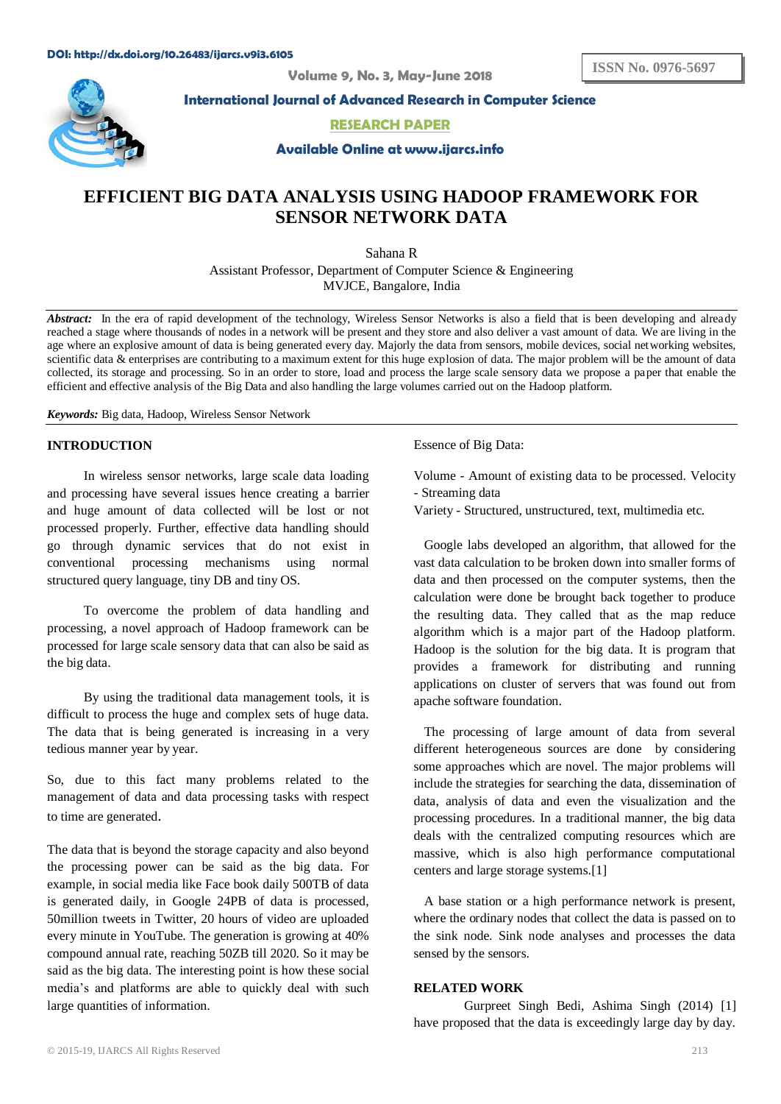**ISSN No. 0976-5697**

**Volume 9, No. 3, May-June 2018**



**International Journal of Advanced Research in Computer Science**

**RESEARCH PAPER**

**Available Online at www.ijarcs.info**

# **EFFICIENT BIG DATA ANALYSIS USING HADOOP FRAMEWORK FOR SENSOR NETWORK DATA**

Sahana R Assistant Professor, Department of Computer Science & Engineering MVJCE, Bangalore, India

*Abstract:* In the era of rapid development of the technology, Wireless Sensor Networks is also a field that is been developing and already reached a stage where thousands of nodes in a network will be present and they store and also deliver a vast amount of data. We are living in the age where an explosive amount of data is being generated every day. Majorly the data from sensors, mobile devices, social networking websites, scientific data & enterprises are contributing to a maximum extent for this huge explosion of data. The major problem will be the amount of data collected, its storage and processing. So in an order to store, load and process the large scale sensory data we propose a paper that enable the efficient and effective analysis of the Big Data and also handling the large volumes carried out on the Hadoop platform.

*Keywords:* Big data, Hadoop, Wireless Sensor Network

### **INTRODUCTION**

In wireless sensor networks, large scale data loading and processing have several issues hence creating a barrier and huge amount of data collected will be lost or not processed properly. Further, effective data handling should go through dynamic services that do not exist in conventional processing mechanisms using normal structured query language, tiny DB and tiny OS.

To overcome the problem of data handling and processing, a novel approach of Hadoop framework can be processed for large scale sensory data that can also be said as the big data.

By using the traditional data management tools, it is difficult to process the huge and complex sets of huge data. The data that is being generated is increasing in a very tedious manner year by year.

So, due to this fact many problems related to the management of data and data processing tasks with respect to time are generated.

The data that is beyond the storage capacity and also beyond the processing power can be said as the big data. For example, in social media like Face book daily 500TB of data is generated daily, in Google 24PB of data is processed, 50million tweets in Twitter, 20 hours of video are uploaded every minute in YouTube. The generation is growing at 40% compound annual rate, reaching 50ZB till 2020. So it may be said as the big data. The interesting point is how these social media's and platforms are able to quickly deal with such large quantities of information.

Essence of Big Data:

Volume - Amount of existing data to be processed. Velocity - Streaming data

Variety - Structured, unstructured, text, multimedia etc.

Google labs developed an algorithm, that allowed for the vast data calculation to be broken down into smaller forms of data and then processed on the computer systems, then the calculation were done be brought back together to produce the resulting data. They called that as the map reduce algorithm which is a major part of the Hadoop platform. Hadoop is the solution for the big data. It is program that provides a framework for distributing and running applications on cluster of servers that was found out from apache software foundation.

The processing of large amount of data from several different heterogeneous sources are done by considering some approaches which are novel. The major problems will include the strategies for searching the data, dissemination of data, analysis of data and even the visualization and the processing procedures. In a traditional manner, the big data deals with the centralized computing resources which are massive, which is also high performance computational centers and large storage systems.[1]

A base station or a high performance network is present, where the ordinary nodes that collect the data is passed on to the sink node. Sink node analyses and processes the data sensed by the sensors.

#### **RELATED WORK**

Gurpreet Singh Bedi, Ashima Singh (2014) [1] have proposed that the data is exceedingly large day by day.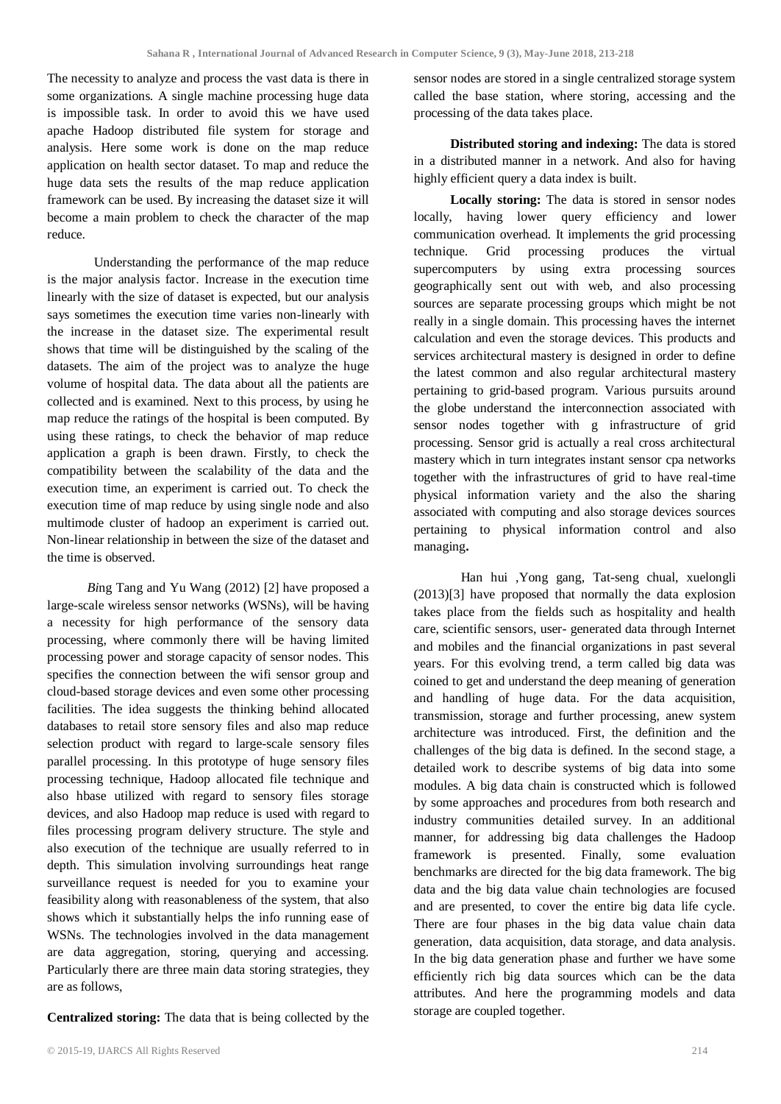The necessity to analyze and process the vast data is there in some organizations. A single machine processing huge data is impossible task. In order to avoid this we have used apache Hadoop distributed file system for storage and analysis. Here some work is done on the map reduce application on health sector dataset. To map and reduce the huge data sets the results of the map reduce application framework can be used. By increasing the dataset size it will become a main problem to check the character of the map reduce.

Understanding the performance of the map reduce is the major analysis factor. Increase in the execution time linearly with the size of dataset is expected, but our analysis says sometimes the execution time varies non-linearly with the increase in the dataset size. The experimental result shows that time will be distinguished by the scaling of the datasets. The aim of the project was to analyze the huge volume of hospital data. The data about all the patients are collected and is examined. Next to this process, by using he map reduce the ratings of the hospital is been computed. By using these ratings, to check the behavior of map reduce application a graph is been drawn. Firstly, to check the compatibility between the scalability of the data and the execution time, an experiment is carried out. To check the execution time of map reduce by using single node and also multimode cluster of hadoop an experiment is carried out. Non-linear relationship in between the size of the dataset and the time is observed.

*Bi*ng Tang and Yu Wang (2012) [2] have proposed a large-scale wireless sensor networks (WSNs), will be having a necessity for high performance of the sensory data processing, where commonly there will be having limited processing power and storage capacity of sensor nodes. This specifies the connection between the wifi sensor group and cloud-based storage devices and even some other processing facilities. The idea suggests the thinking behind allocated databases to retail store sensory files and also map reduce selection product with regard to large-scale sensory files parallel processing. In this prototype of huge sensory files processing technique, Hadoop allocated file technique and also hbase utilized with regard to sensory files storage devices, and also Hadoop map reduce is used with regard to files processing program delivery structure. The style and also execution of the technique are usually referred to in depth. This simulation involving surroundings heat range surveillance request is needed for you to examine your feasibility along with reasonableness of the system, that also shows which it substantially helps the info running ease of WSNs. The technologies involved in the data management are data aggregation, storing, querying and accessing. Particularly there are three main data storing strategies, they are as follows,

**Centralized storing:** The data that is being collected by the

sensor nodes are stored in a single centralized storage system called the base station, where storing, accessing and the processing of the data takes place.

**Distributed storing and indexing:** The data is stored in a distributed manner in a network. And also for having highly efficient query a data index is built.

**Locally storing:** The data is stored in sensor nodes locally, having lower query efficiency and lower communication overhead. It implements the grid processing technique. Grid processing produces the virtual supercomputers by using extra processing sources geographically sent out with web, and also processing sources are separate processing groups which might be not really in a single domain. This processing haves the internet calculation and even the storage devices. This products and services architectural mastery is designed in order to define the latest common and also regular architectural mastery pertaining to grid-based program. Various pursuits around the globe understand the interconnection associated with sensor nodes together with g infrastructure of grid processing. Sensor grid is actually a real cross architectural mastery which in turn integrates instant sensor cpa networks together with the infrastructures of grid to have real-time physical information variety and the also the sharing associated with computing and also storage devices sources pertaining to physical information control and also managing**.**

Han hui ,Yong gang, Tat-seng chual, xuelongli (2013)[3] have proposed that normally the data explosion takes place from the fields such as hospitality and health care, scientific sensors, user- generated data through Internet and mobiles and the financial organizations in past several years. For this evolving trend, a term called big data was coined to get and understand the deep meaning of generation and handling of huge data. For the data acquisition, transmission, storage and further processing, anew system architecture was introduced. First, the definition and the challenges of the big data is defined. In the second stage, a detailed work to describe systems of big data into some modules. A big data chain is constructed which is followed by some approaches and procedures from both research and industry communities detailed survey. In an additional manner, for addressing big data challenges the Hadoop framework is presented. Finally, some evaluation benchmarks are directed for the big data framework. The big data and the big data value chain technologies are focused and are presented, to cover the entire big data life cycle. There are four phases in the big data value chain data generation, data acquisition, data storage, and data analysis. In the big data generation phase and further we have some efficiently rich big data sources which can be the data attributes. And here the programming models and data storage are coupled together.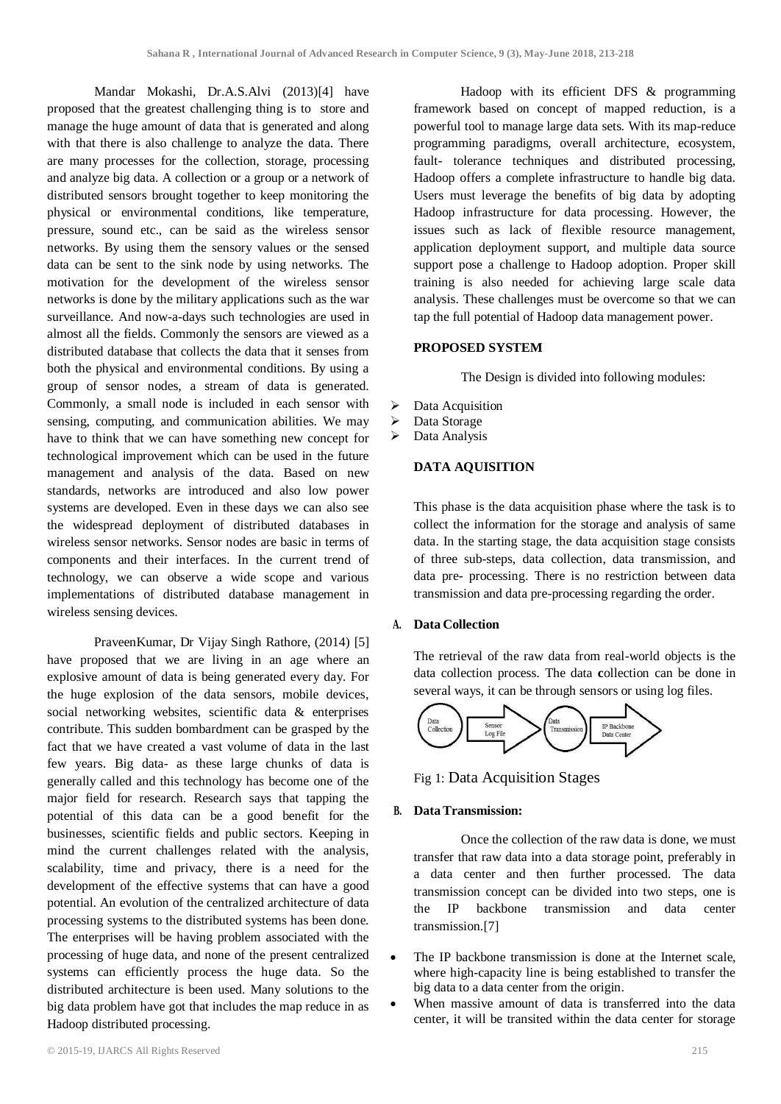Mandar Mokashi, Dr.A.S.Alvi (2013)[4] have proposed that the greatest challenging thing is to store and manage the huge amount of data that is generated and along with that there is also challenge to analyze the data. There are many processes for the collection, storage, processing and analyze big data. A collection or a group or a network of distributed sensors brought together to keep monitoring the physical or environmental conditions, like temperature, pressure, sound etc., can be said as the wireless sensor networks. By using them the sensory values or the sensed data can be sent to the sink node by using networks. The motivation for the development of the wireless sensor networks is done by the military applications such as the war surveillance. And now-a-days such technologies are used in almost all the fields. Commonly the sensors are viewed as a distributed database that collects the data that it senses from both the physical and environmental conditions. By using a group of sensor nodes, a stream of data is generated. Commonly, a small node is included in each sensor with sensing, computing, and communication abilities. We may have to think that we can have something new concept for technological improvement which can be used in the future management and analysis of the data. Based on new standards, networks are introduced and also low power systems are developed. Even in these days we can also see the widespread deployment of distributed databases in wireless sensor networks. Sensor nodes are basic in terms of components and their interfaces. In the current trend of technology, we can observe a wide scope and various implementations of distributed database management in wireless sensing devices.

PraveenKumar, Dr Vijay Singh Rathore, (2014) [5] have proposed that we are living in an age where an explosive amount of data is being generated every day. For the huge explosion of the data sensors, mobile devices, social networking websites, scientific data & enterprises contribute. This sudden bombardment can be grasped by the fact that we have created a vast volume of data in the last few years. Big data- as these large chunks of data is generally called and this technology has become one of the major field for research. Research says that tapping the potential of this data can be a good benefit for the businesses, scientific fields and public sectors. Keeping in mind the current challenges related with the analysis, scalability, time and privacy, there is a need for the development of the effective systems that can have a good potential. An evolution of the centralized architecture of data processing systems to the distributed systems has been done. The enterprises will be having problem associated with the processing of huge data, and none of the present centralized systems can efficiently process the huge data. So the distributed architecture is been used. Many solutions to the big data problem have got that includes the map reduce in as Hadoop distributed processing.

Hadoop with its efficient DFS & programming framework based on concept of mapped reduction, is a powerful tool to manage large data sets. With its map-reduce programming paradigms, overall architecture, ecosystem, fault- tolerance techniques and distributed processing, Hadoop offers a complete infrastructure to handle big data. Users must leverage the benefits of big data by adopting Hadoop infrastructure for data processing. However, the issues such as lack of flexible resource management, application deployment support, and multiple data source support pose a challenge to Hadoop adoption. Proper skill training is also needed for achieving large scale data analysis. These challenges must be overcome so that we can tap the full potential of Hadoop data management power.

### **PROPOSED SYSTEM**

The Design is divided into following modules:

- $\triangleright$  Data Acquisition
- > Data Storage
- Data Analysis

### **DATA AQUISITION**

This phase is the data acquisition phase where the task is to collect the information for the storage and analysis of same data. In the starting stage, the data acquisition stage consists of three sub-steps, data collection, data transmission, and data pre- processing. There is no restriction between data transmission and data pre-processing regarding the order.

### **A. Data Collection**

The retrieval of the raw data from real-world objects is the data collection process. The data **c**ollection can be done in several ways, it can be through sensors or using log files.



Fig 1: Data Acquisition Stages

# **B. DataTransmission:**

Once the collection of the raw data is done, we must transfer that raw data into a data storage point, preferably in a data center and then further processed. The data transmission concept can be divided into two steps, one is the IP backbone transmission and data center transmission.[7]

- The IP backbone transmission is done at the Internet scale, where high-capacity line is being established to transfer the big data to a data center from the origin.
- When massive amount of data is transferred into the data center, it will be transited within the data center for storage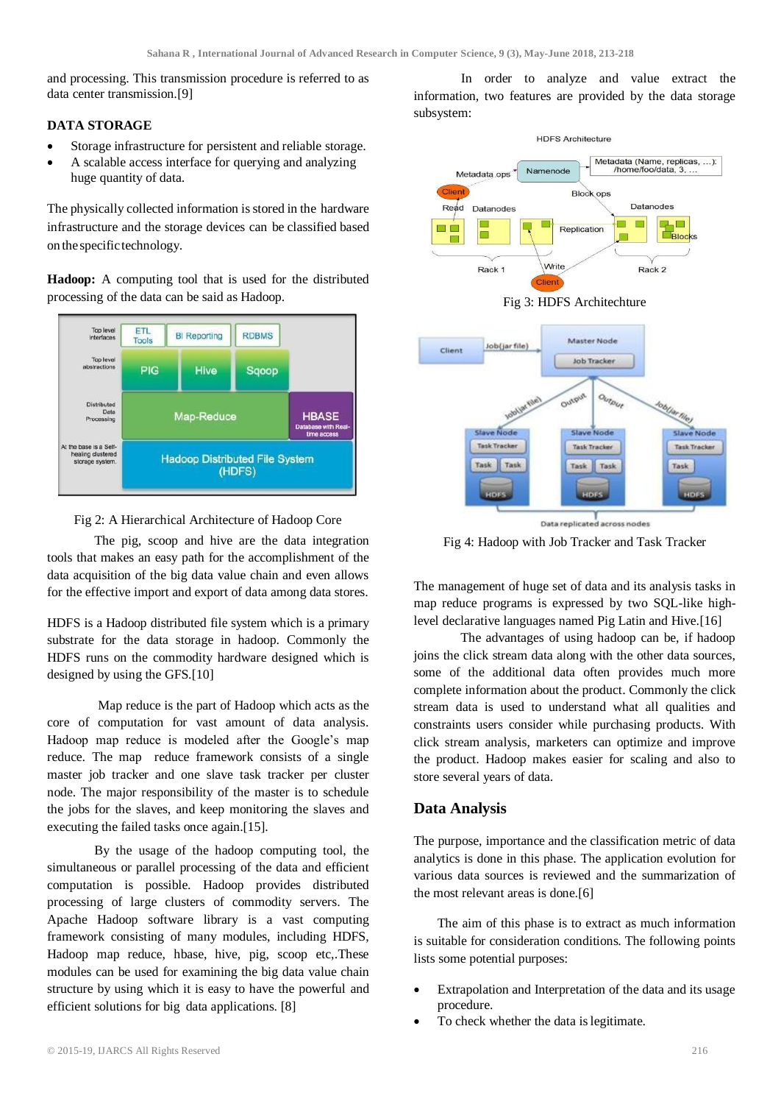and processing. This transmission procedure is referred to as data center transmission.[9]

## **DATA STORAGE**

- Storage infrastructure for persistent and reliable storage.
- A scalable access interface for querying and analyzing huge quantity of data.

The physically collected information is stored in the hardware infrastructure and the storage devices can be classified based on thespecifictechnology.

**Hadoop:** A computing tool that is used for the distributed processing of the data can be said as Hadoop.





The pig, scoop and hive are the data integration tools that makes an easy path for the accomplishment of the data acquisition of the big data value chain and even allows for the effective import and export of data among data stores.

HDFS is a Hadoop distributed file system which is a primary substrate for the data storage in hadoop. Commonly the HDFS runs on the commodity hardware designed which is designed by using the GFS.[10]

Map reduce is the part of Hadoop which acts as the core of computation for vast amount of data analysis. Hadoop map reduce is modeled after the Google's map reduce. The map reduce framework consists of a single master job tracker and one slave task tracker per cluster node. The major responsibility of the master is to schedule the jobs for the slaves, and keep monitoring the slaves and executing the failed tasks once again.[15].

By the usage of the hadoop computing tool, the simultaneous or parallel processing of the data and efficient computation is possible. Hadoop provides distributed processing of large clusters of commodity servers. The Apache Hadoop software library is a vast computing framework consisting of many modules, including HDFS, Hadoop map reduce, hbase, hive, pig, scoop etc,.These modules can be used for examining the big data value chain structure by using which it is easy to have the powerful and efficient solutions for big data applications. [8]

In order to analyze and value extract the information, two features are provided by the data storage subsystem:







Fig 4: Hadoop with Job Tracker and Task Tracker

The management of huge set of data and its analysis tasks in map reduce programs is expressed by two SQL-like highlevel declarative languages named Pig Latin and Hive.[16]

The advantages of using hadoop can be, if hadoop joins the click stream data along with the other data sources, some of the additional data often provides much more complete information about the product. Commonly the click stream data is used to understand what all qualities and constraints users consider while purchasing products. With click stream analysis, marketers can optimize and improve the product. Hadoop makes easier for scaling and also to store several years of data.

# **Data Analysis**

The purpose, importance and the classification metric of data analytics is done in this phase. The application evolution for various data sources is reviewed and the summarization of the most relevant areas is done.[6]

The aim of this phase is to extract as much information is suitable for consideration conditions. The following points lists some potential purposes:

- Extrapolation and Interpretation of the data and its usage procedure.
- To check whether the data islegitimate.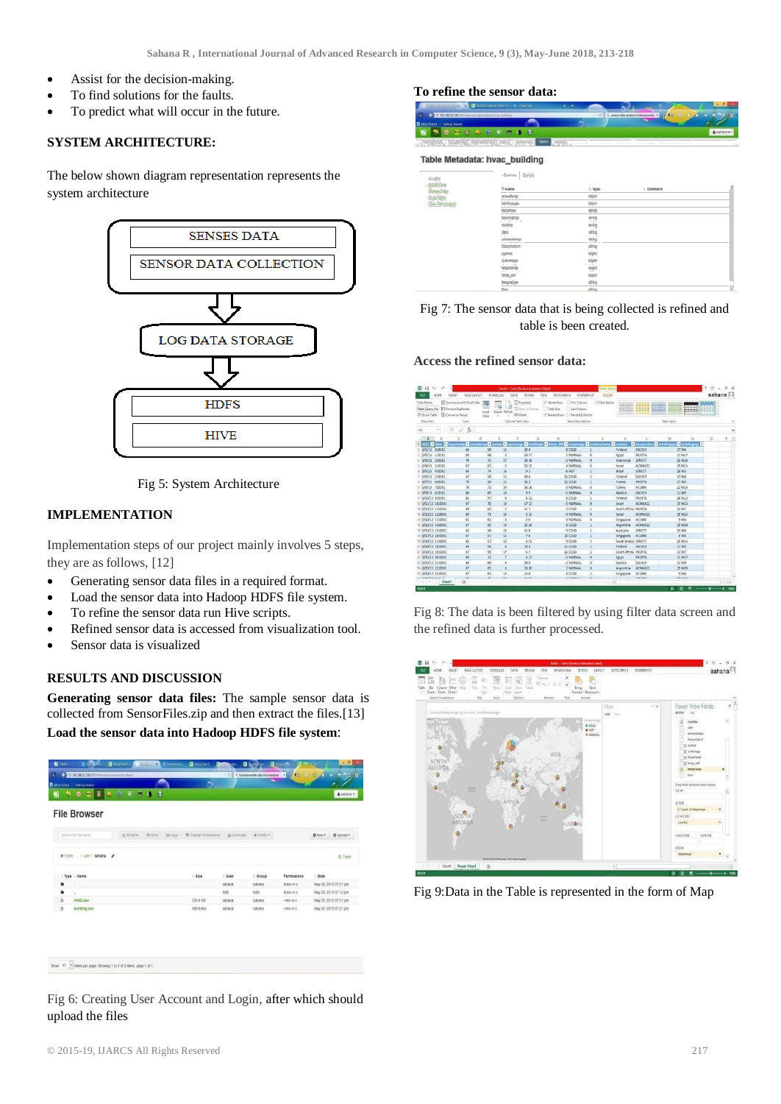- Assist for the decision-making.
- To find solutions for the faults.
- To predict what will occur in the future.

### **SYSTEM ARCHITECTURE:**

The below shown diagram representation represents the system architecture



Fig 5: System Architecture

#### **IMPLEMENTATION**

Implementation steps of our project mainly involves 5 steps, they are as follows, [12]

- Generating sensor data files in a required format.
- Load the sensor data into Hadoop HDFS file system.
- To refine the sensor data run Hive scripts.
- Refined sensor data is accessed from visualization tool.
- Sensor data is visualized

### **RESULTS AND DISCUSSION**

**Generating sensor data files:** The sample sensor data is collected from SensorFiles.zip and then extract the files.[13]

**Load the sensor data into Hadoop HDFS file system**:

|        | a<br>æ.<br>×         | io.<br>$\bullet$ | $\left( 3\right)$<br>o |                |                               |             |            |               |             | & sahana -            |
|--------|----------------------|------------------|------------------------|----------------|-------------------------------|-------------|------------|---------------|-------------|-----------------------|
|        | <b>File Browser</b>  |                  |                        |                |                               |             |            |               |             |                       |
|        | Search for file name | A Rename         | X Move                 | <b>13 Copy</b> | <b>III</b> Change Permissions | & Download  | x Delete - |               | O New -     | @ Upload -            |
| W Home | / user / sahana<br>í |                  |                        |                |                               |             |            |               |             | 音 Trash               |
|        | Type Name            |                  |                        |                | Size                          | <b>User</b> | Group      | Permissions   | <b>Date</b> |                       |
| ٠      |                      |                  |                        |                |                               | sahana      | sabana     | draw-ar-x     |             | May 29, 2015 07:21 pm |
| ٠      | $\sim$               |                  |                        |                |                               | hdfs        | hdfs       | draxr-xr-x    |             | May 29, 2015 07:12 pm |
| B      | <b>HVAC.csv</b>      |                  |                        |                | 234 9 KB                      | sahana      | sabana     | $-1933T-3T-X$ |             | May 29, 2015 07:21 pm |
| a      | building.csv         |                  |                        |                | 489 bytes                     | sahana      | sahana     | $-$ DEST-XT-X |             | May 29, 2015 07:21 pm |
|        |                      |                  |                        |                |                               |             |            |               |             |                       |

Fig 6: Creating User Account and Login, after which should upload the files

#### **To refine the sensor data:**

| Nontration again a C Habop Tabout How To., X New Tab           |                                      | $\sim$ |
|----------------------------------------------------------------|--------------------------------------|--------|
| 4 G 16 192.168.52.128.0000 becommitable/default/hose_building  | sensor data analysis hortownworks -9 |        |
| Most Visited Getting Started                                   |                                      |        |
| <b>NNORRAGODOS</b>                                             |                                      |        |
| Query Editor My Queries Saved Queries History Databases Enters |                                      |        |

#### Table Metadata: hyac building

| ACTIONS                           | Columns Sample            |                             |                |   |  |  |  |  |  |
|-----------------------------------|---------------------------|-----------------------------|----------------|---|--|--|--|--|--|
| Import Data<br><b>Browse Data</b> | <sup>t</sup> Name         | 4 Type                      | <b>Comment</b> | ă |  |  |  |  |  |
| Orap Table                        | actualtemp                | bigint                      |                |   |  |  |  |  |  |
| View File Location                | buildingage               | tigint                      |                |   |  |  |  |  |  |
|                                   | toldingid                 | string                      |                |   |  |  |  |  |  |
|                                   | buildingmgr<br>company of | string<br>-- 7              |                |   |  |  |  |  |  |
|                                   | country                   | string                      |                |   |  |  |  |  |  |
|                                   | date<br><b>COLLA</b>      | string<br>. .               |                |   |  |  |  |  |  |
|                                   | extremetemp               | string                      |                |   |  |  |  |  |  |
|                                   | hvacproduct               | string                      |                |   |  |  |  |  |  |
|                                   | system                    | bigint                      |                |   |  |  |  |  |  |
|                                   | systemage<br>The Control  | bigint<br>. .               |                |   |  |  |  |  |  |
|                                   | targettemp                | bigint<br><b>COLLECTION</b> |                |   |  |  |  |  |  |
|                                   | temp_diff                 | bigint                      |                |   |  |  |  |  |  |
|                                   | temprange                 | string                      |                |   |  |  |  |  |  |
|                                   | time.                     | string                      |                | 娑 |  |  |  |  |  |

# Fig 7: The sensor data that is being collected is refined and table is been created.

#### **Access the refined sensor data:**

| ■日 り で :                                                                                           |                            |                     | dook!                               | Errel (Product Activation Failed)          |                                                                                                    | table foots       |                     |                              |                                                                            | $(0)$ =                          | s                 |
|----------------------------------------------------------------------------------------------------|----------------------------|---------------------|-------------------------------------|--------------------------------------------|----------------------------------------------------------------------------------------------------|-------------------|---------------------|------------------------------|----------------------------------------------------------------------------|----------------------------------|-------------------|
| INSERT<br>RI.<br><b>HOME</b>                                                                       | <b>PAGE LAYOUT</b>         |                     | FORMULAS<br>DATA                    | REVEW                                      | NITED PRO 9<br><b><i>FOWERPIVOT</i></b><br><b>VEW</b>                                              | <b>OESIGN</b>     |                     |                              |                                                                            | sahana                           |                   |
| Table Name<br>H Lemove Duplicates<br>Table Query from<br>Convert to Range<br><b>C</b> Resize Table | Sigmimates with PivotTable | 匣<br>Inset<br>Sicer | à<br>نی<br>Export Refresh<br>÷<br>× | Properties<br>G Corr is fromm<br>CD Unlink | <b>First Column</b><br>C Header Row<br>Total Rose<br>Last Column<br>C Banded Rows   Banded Columns | ivi Filter Button | <b>STATISTICS</b>   | <b>WANDER</b><br>$1 - 1 - 1$ | 開催<br><b>CONTRACTOR</b><br>Meles etc.<br>$- - - -$<br>m<br><b>State of</b> | <b>TECHNOLOGY</b><br>$- - - - -$ |                   |
| Properties                                                                                         | Tools                      |                     |                                     | External Table Data                        | Table Style Options                                                                                |                   |                     |                              | Table Styles                                                               |                                  |                   |
| A1<br>$\bullet$ 1                                                                                  | $\times \sqrt{k}$          |                     |                                     |                                            |                                                                                                    |                   |                     |                              |                                                                            |                                  |                   |
| Ä<br>s.                                                                                            | c                          | $\mathcal{D}$       | E                                   | G                                          | H                                                                                                  |                   | K                   |                              | M<br>N                                                                     | $-9$                             | P.                |
| <b>Battle Dime Dimentions</b>                                                                      | <b>Datastern</b>           |                     | <b>El votres</b><br>п.              |                                            | etemace <b>D</b> building d Lemp diff D temprane D extremetem                                      |                   | <b>D</b> country    |                              | <b>Thuscorodust &amp; buildingage &amp; buildingmgs</b>                    |                                  |                   |
| 6/1/13 0:00:01<br>$\overline{ }$                                                                   | 66                         | 58                  | 13                                  | 20.4                                       | # COLD                                                                                             |                   | Finland             | 661919                       | 17 M4                                                                      |                                  |                   |
| 6/2/13 1:00:01                                                                                     | 69                         | 68                  | 78                                  | 2017                                       | 1 NORMAL                                                                                           | b                 | Egypt               | <b>FNINTG</b>                | 11 M17                                                                     |                                  |                   |
| 6/1/13<br>2:00:01                                                                                  | 70                         | $\overline{7}$      | 17                                  | 20 18                                      | -3 NORMAL                                                                                          | $\circ$           | Indonesia           | JDNS77                       | 25 M18                                                                     |                                  |                   |
| 5 6/4/13 3:00:01                                                                                   | 67                         | 63                  | $\overline{2}$                      | 23 15                                      | 4 NORMAL                                                                                           | ö                 | Israel              | ACMAX22                      | 19 M15                                                                     |                                  |                   |
| 6/5/13 4:00:01                                                                                     | 68                         | 74                  | 16                                  | 93                                         | $-6$ HOT                                                                                           |                   | Brazil              | JDNS77                       | 28 M3                                                                      |                                  |                   |
| 6/6/13 5:00:01                                                                                     | 67                         | 56                  | 11                                  | 28.4                                       | 11 COLD                                                                                            | ٠                 | Finland             | GG1919                       | 17 M4                                                                      |                                  |                   |
| 6/7/13 6:00:01                                                                                     | $\overline{20}$            | 58                  | 12                                  | 24.2                                       | 12 COLD                                                                                            | s                 | France              | <b>FN397G</b>                | 27 M2                                                                      |                                  |                   |
| 9.6/8/13.700.01                                                                                    | 70                         | 73                  | 20                                  | 26 16                                      | -3 NORMAL                                                                                          | o                 | Turkey              | AC1000                       | 23 M16                                                                     |                                  |                   |
| 10 6/9/13 8:00:01                                                                                  | 66                         | 69                  | 16                                  | 99                                         | -3 NORMAL                                                                                          | o                 | Mexico              | GG1919                       | 11 MS                                                                      |                                  |                   |
| 11 6/10/13 9:00:01                                                                                 | 65                         | 57                  | 6                                   | 512                                        | 8.COLD                                                                                             | t                 | Finland             | <b>FN39TG</b>                | 26 M12                                                                     |                                  |                   |
| 12 6/11/13 10:00:01                                                                                | 67                         | 70                  | 10                                  | 17 15                                      | -3 NORMAL                                                                                          | $\circ$           | turaed              | ACMAX22                      | 19 M15                                                                     |                                  |                   |
| 13 6/12/13 11:00:01                                                                                | 69                         | 62                  | $\mathbf{z}$                        | 11.7                                       | 7.00LD                                                                                             | b                 | South Africa FN39TG |                              | 13 M7                                                                      |                                  |                   |
| 14 6/13/13 12:00:01                                                                                | in.                        | $\overline{z}$      | 14                                  | 2.15                                       | 4 NORMAL                                                                                           | $\circ$           | Israel              | ACMAX22                      | <b>19 M15</b>                                                              |                                  |                   |
| 15 6/14/13 13:00:01                                                                                | iss                        | 61                  | $\mathbf{1}$                        | 26                                         | 4 NORMAL                                                                                           | ö                 | Singapore           | AC1000                       | 9.16                                                                       |                                  |                   |
| 16 6/15/13 14:00:01                                                                                | 67                         | 59                  | 19                                  | 22.20                                      | s coup                                                                                             |                   | Argentina           | ACMAX22                      | 19 M20                                                                     |                                  |                   |
| 17 6/16/13 15:00:01                                                                                | 45                         | 56                  | 19                                  | 11'8                                       | 9.0010                                                                                             |                   | Australia           | JDNS77                       | 25 M/L                                                                     |                                  |                   |
| 18 6/17/13 16:00:01                                                                                | 67                         | 57                  | 15                                  | 76                                         | 10 COLD                                                                                            |                   | Singapore           | <b>AC1000</b>                | 9 M6                                                                       |                                  |                   |
| 19 6/18/13 17:00:01                                                                                | 66                         | 57                  | 12                                  | 513                                        | 3 COLD                                                                                             |                   | Saudi Arabia JDNS77 |                              | 35 M13                                                                     |                                  |                   |
| 20 6/19/13 18:00:01                                                                                | 65                         | 58                  | s                                   | 22.4                                       | 11 COLD                                                                                            |                   | Finland             | GG1919                       | 17 M4                                                                      |                                  |                   |
| 21 6/20/13 19:00:01                                                                                | 67                         | 55                  | 17                                  | 57                                         | 12 COLD                                                                                            | ۱                 | South Africa FN39TG |                              | 13 M7                                                                      |                                  |                   |
| 22 6/21/11 20:00:01                                                                                | 65                         | 72                  | ×                                   | 5.17                                       | -3 NORMAL                                                                                          | n                 | <b>Egypt</b>        | <b>FN39TG</b>                | 11 M17                                                                     |                                  |                   |
| 23 6/22/13 21:00:01                                                                                | 66                         | 69                  | 6                                   | 29.9                                       | -3 NORMAL                                                                                          | ö                 | Mexico              | GG1919                       | 11 M9                                                                      |                                  |                   |
| 24 6/23/13 22:00:01                                                                                | 67                         | 65                  | 6                                   | 18 20                                      | 2 NORMAL                                                                                           | $\circ$           | Argentina           | ACMAX22                      | 19 M20                                                                     |                                  |                   |
| 25 6/24/13 23:00:01                                                                                | 67                         | 61                  | 15                                  | 136                                        | 6 COLD                                                                                             | h                 | Singapore           | AC1000                       | 9 M6                                                                       |                                  |                   |
| an index los is an im-<br>$\mathcal{L}$                                                            | ÷<br>$\circ$               | ÷                   | $\sim$                              | 11.18                                      |                                                                                                    |                   | <b>Harry</b>        | <b>INSTRUCTS</b>             | as seen                                                                    |                                  |                   |
| Sheet1                                                                                             |                            |                     |                                     |                                            |                                                                                                    |                   | $\epsilon$          |                              |                                                                            |                                  |                   |
| READY                                                                                              |                            |                     |                                     |                                            |                                                                                                    |                   |                     |                              | 囲<br>臣<br>面                                                                |                                  | $\mathbf{m}$<br>٠ |

Fig 8: The data is been filtered by using filter data screen and the refined data is further processed.



Fig 9:Data in the Table is represented in the form of Map